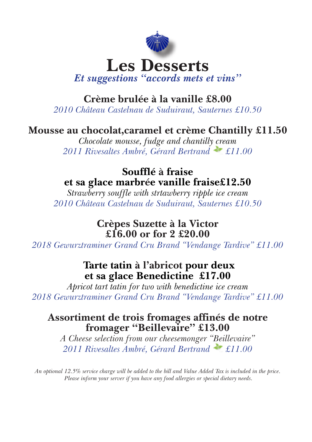

## **Crème brulée à la vanille £8.00**

*2010 Château Castelnau de Suduiraut, Sauternes £10.50*

### **Mousse au chocolat,caramel et crème Chantilly £11.50**

*Chocolate mousse, fudge and chantilly cream 2011 Rivesaltes Ambré, Gérard Bertrand £11.00*

### **Soufflé à fraise et sa glace marbrée vanille fraise£12.50**

*Strawberry souffle with strtawberry ripple ice cream 2010 Château Castelnau de Suduiraut, Sauternes £10.50*

#### **Crèpes Suzette à la Victor £16.00 or for 2 £20.00**

*2018 Gewurztraminer Grand Cru Brand "Vendange Tardive" £11.00*

# **Tarte tatin à l'abricot pour deux et sa glace Benedictine £17.00**

*Apricot tart tatin for two with benedictine ice cream 2018 Gewurztraminer Grand Cru Brand "Vendange Tardive" £11.00*

### **Assortiment de trois fromages affinés de notre fromager "Beillevaire" £13.00**

*A Cheese selection from our cheesemonger "Beillevaire" 2011 Rivesaltes Ambré, Gérard Bertrand £11.00*

*An optional 12.5% service charge will be added to the bill and Value Added Tax is included in the price. Please inform your server if you have any food allergies or special dietary needs.*